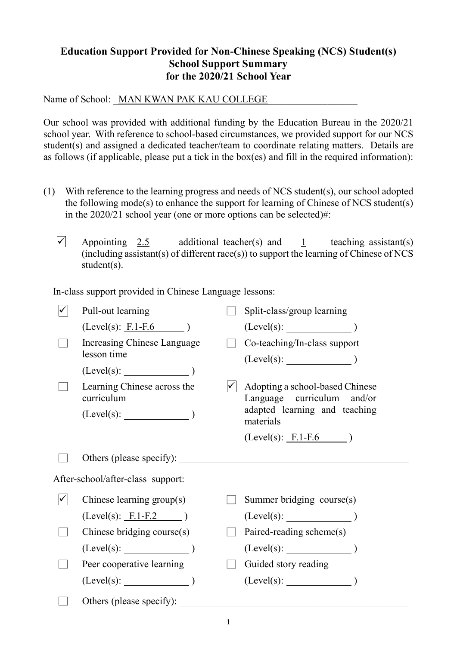## **Education Support Provided for Non-Chinese Speaking (NCS) Student(s) School Support Summary for the 2020/21 School Year**

Name of School: MAN KWAN PAK KAU COLLEGE

Our school was provided with additional funding by the Education Bureau in the 2020/21 school year. With reference to school-based circumstances, we provided support for our NCS student(s) and assigned a dedicated teacher/team to coordinate relating matters. Details are as follows (if applicable, please put a tick in the box(es) and fill in the required information):

- (1) With reference to the learning progress and needs of NCS student(s), our school adopted the following mode(s) to enhance the support for learning of Chinese of NCS student(s) in the 2020/21 school year (one or more options can be selected)#:
	- $\triangledown$  Appointing 2.5 additional teacher(s) and 1 teaching assistant(s) (including assistant(s) of different race(s)) to support the learning of Chinese of NCS student(s).

In-class support provided in Chinese Language lessons:

| ✓                                 | Pull-out learning                          |  | Split-class/group learning                                    |  |
|-----------------------------------|--------------------------------------------|--|---------------------------------------------------------------|--|
|                                   | $(Level(s): F.1-F.6)$ )                    |  | $(Level(s):$ $)$                                              |  |
|                                   | Increasing Chinese Language<br>lesson time |  | Co-teaching/In-class support                                  |  |
|                                   | $(Level(s):$ (Level(s):                    |  |                                                               |  |
|                                   | Learning Chinese across the<br>curriculum  |  | Adopting a school-based Chinese<br>Language curriculum and/or |  |
|                                   | $(Level(s):$ $)$                           |  | adapted learning and teaching<br>materials                    |  |
|                                   |                                            |  | $(Level(s): F.1-F.6)$                                         |  |
|                                   | Others (please specify):                   |  |                                                               |  |
| After-school/after-class support: |                                            |  |                                                               |  |
|                                   | Chinese learning group(s)                  |  | Summer bridging course(s)                                     |  |
|                                   | $(Level(s): F.1-F.2)$                      |  |                                                               |  |
|                                   | Chinese bridging course(s)                 |  | Paired-reading scheme(s)                                      |  |
|                                   | $(Level(s):$ (Level(s): $)$                |  |                                                               |  |
|                                   | Peer cooperative learning                  |  | Guided story reading                                          |  |
|                                   | $(Level(s):$ (Level(s): (1)                |  |                                                               |  |
|                                   | Others (please specify):                   |  |                                                               |  |